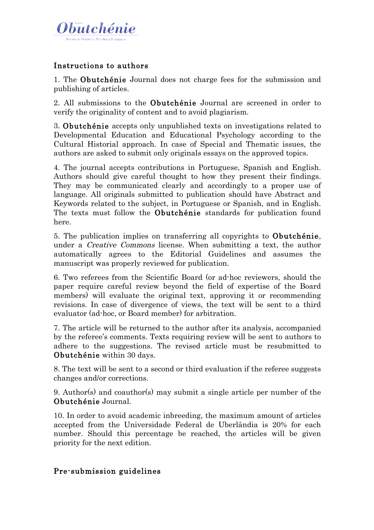

# Instructions to authors

1. The Obutchénie Journal does not charge fees for the submission and publishing of articles.

2. All submissions to the Obutchénie Journal are screened in order to verify the originality of content and to avoid plagiarism.

3. Obutchénie accepts only unpublished texts on investigations related to Developmental Education and Educational Psychology according to the Cultural Historial approach. In case of Special and Thematic issues, the authors are asked to submit only originals essays on the approved topics.

4. The journal accepts contributions in Portuguese, Spanish and English. Authors should give careful thought to how they present their findings. They may be communicated clearly and accordingly to a proper use of language. All originals submitted to publication should have Abstract and Keywords related to the subject, in Portuguese or Spanish, and in English. The texts must follow the **Obutchénie** standards for publication found here.

5. The publication implies on transferring all copyrights to Obutchénie, under a Creative Commons license. When submitting a text, the author automatically agrees to the Editorial Guidelines and assumes the manuscript was properly reviewed for publication.

6. Two referees from the Scientific Board (or ad-hoc reviewers, should the paper require careful review beyond the field of expertise of the Board members) will evaluate the original text, approving it or recommending revisions. In case of divergence of views, the text will be sent to a third evaluator (ad-hoc, or Board member) for arbitration.

7. The article will be returned to the author after its analysis, accompanied by the referee's comments. Texts requiring review will be sent to authors to adhere to the suggestions. The revised article must be resubmitted to Obutchénie within 30 days.

8. The text will be sent to a second or third evaluation if the referee suggests changes and/or corrections.

9. Author(s) and coauthor(s) may submit a single article per number of the Obutchénie Journal.

10. In order to avoid academic inbreeding, the maximum amount of articles accepted from the Universidade Federal de Uberlândia is 20% for each number. Should this percentage be reached, the articles will be given priority for the next edition.

# Pre-submission guidelines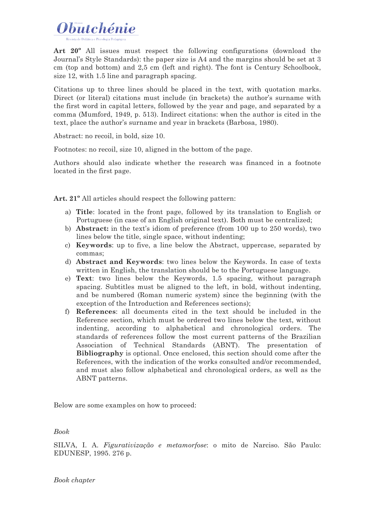

**Art 20º** All issues must respect the following configurations (download the Journal's Style Standards): the paper size is A4 and the margins should be set at 3 cm (top and bottom) and 2,5 cm (left and right). The font is Century Schoolbook, size 12, with 1.5 line and paragraph spacing.

Citations up to three lines should be placed in the text, with quotation marks. Direct (or literal) citations must include (in brackets) the author's surname with the first word in capital letters, followed by the year and page, and separated by a comma (Mumford, 1949, p. 513). Indirect citations: when the author is cited in the text, place the author's surname and year in brackets (Barbosa, 1980).

Abstract: no recoil, in bold, size 10.

Footnotes: no recoil, size 10, aligned in the bottom of the page.

Authors should also indicate whether the research was financed in a footnote located in the first page.

Art. 21<sup>°</sup> All articles should respect the following pattern:

- a) **Title**: located in the front page, followed by its translation to English or Portuguese (in case of an English original text). Both must be centralized;
- b) **Abstract:** in the text's idiom of preference (from 100 up to 250 words), two lines below the title, single space, without indenting;
- c) **Keywords**: up to five, a line below the Abstract, uppercase, separated by commas;
- d) **Abstract and Keywords**: two lines below the Keywords. In case of texts written in English, the translation should be to the Portuguese language.
- e) **Text**: two lines below the Keywords, 1.5 spacing, without paragraph spacing. Subtitles must be aligned to the left, in bold, without indenting, and be numbered (Roman numeric system) since the beginning (with the exception of the Introduction and References sections);
- f) **References**: all documents cited in the text should be included in the Reference section, which must be ordered two lines below the text, without indenting, according to alphabetical and chronological orders. The standards of references follow the most current patterns of the Brazilian Association of Technical Standards (ABNT). The presentation of **Bibliography** is optional. Once enclosed, this section should come after the References, with the indication of the works consulted and/or recommended, and must also follow alphabetical and chronological orders, as well as the ABNT patterns.

Below are some examples on how to proceed:

*Book*

SILVA, I. A. *Figurativização e metamorfose*: o mito de Narciso. São Paulo: EDUNESP, 1995. 276 p.

*Book chapter*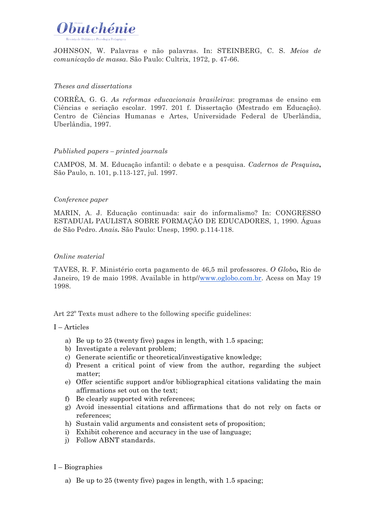

JOHNSON, W. Palavras e não palavras. In: STEINBERG, C. S. *Meios de comunicação de massa*. São Paulo: Cultrix, 1972, p. 47-66.

## *Theses and dissertations*

CORRÊA, G. G. *As reformas educacionais brasileiras*: programas de ensino em Ciências e seriação escolar. 1997. 201 f. Dissertação (Mestrado em Educação). Centro de Ciências Humanas e Artes, Universidade Federal de Uberlândia, Uberlândia, 1997.

## *Published papers – printed journals*

CAMPOS, M. M. Educação infantil: o debate e a pesquisa. *Cadernos de Pesquisa***,** São Paulo, n. 101, p.113-127, jul. 1997.

## *Conference paper*

MARIN, A. J. Educação continuada: sair do informalismo? In: CONGRESSO ESTADUAL PAULISTA SOBRE FORMAÇÃO DE EDUCADORES, 1, 1990. Águas de São Pedro. *Anais***.** São Paulo: Unesp, 1990. p.114-118.

## *Online material*

TAVES, R. F. Ministério corta pagamento de 46,5 mil professores. *O Globo***,** Rio de Janeiro, 19 de maio 1998. Available in http//www.oglobo.com.br. Acess on May 19 1998.

Art 22º Texts must adhere to the following specific guidelines:

#### I – Articles

- a) Be up to 25 (twenty five) pages in length, with 1.5 spacing;
- b) Investigate a relevant problem;
- c) Generate scientific or theoretical/investigative knowledge;
- d) Present a critical point of view from the author, regarding the subject matter;
- e) Offer scientific support and/or bibliographical citations validating the main affirmations set out on the text;
- f) Be clearly supported with references;
- g) Avoid inessential citations and affirmations that do not rely on facts or references;
- h) Sustain valid arguments and consistent sets of proposition;
- i) Exhibit coherence and accuracy in the use of language;
- j) Follow ABNT standards.

# I – Biographies

a) Be up to 25 (twenty five) pages in length, with 1.5 spacing;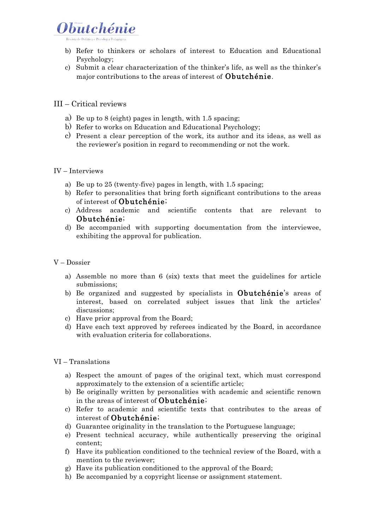

b) Refer to thinkers or scholars of interest to Education and Educational Psychology;

c) Submit a clear characterization of the thinker's life, as well as the thinker's major contributions to the areas of interest of **Obutchénie**.

# III – Critical reviews

- a) Be up to 8 (eight) pages in length, with 1.5 spacing;
- b) Refer to works on Education and Educational Psychology;
- c) Present a clear perception of the work, its author and its ideas, as well as the reviewer's position in regard to recommending or not the work.

#### IV – Interviews

- a) Be up to 25 (twenty-five) pages in length, with 1.5 spacing;
- b) Refer to personalities that bring forth significant contributions to the areas of interest of Obutchénie;
- c) Address academic and scientific contents that are relevant to Obutchénie;
- d) Be accompanied with supporting documentation from the interviewee, exhibiting the approval for publication.

#### V – Dossier

- a) Assemble no more than  $6$  (six) texts that meet the guidelines for article submissions;
- b) Be organized and suggested by specialists in **Obutchénie**'s areas of interest, based on correlated subject issues that link the articles' discussions;
- c) Have prior approval from the Board;
- d) Have each text approved by referees indicated by the Board, in accordance with evaluation criteria for collaborations.

#### VI – Translations

- a) Respect the amount of pages of the original text, which must correspond approximately to the extension of a scientific article;
- b) Be originally written by personalities with academic and scientific renown in the areas of interest of Obutchénie;
- c) Refer to academic and scientific texts that contributes to the areas of interest of Obutchénie;
- d) Guarantee originality in the translation to the Portuguese language;
- e) Present technical accuracy, while authentically preserving the original content;
- f) Have its publication conditioned to the technical review of the Board, with a mention to the reviewer;
- g) Have its publication conditioned to the approval of the Board;
- h) Be accompanied by a copyright license or assignment statement.